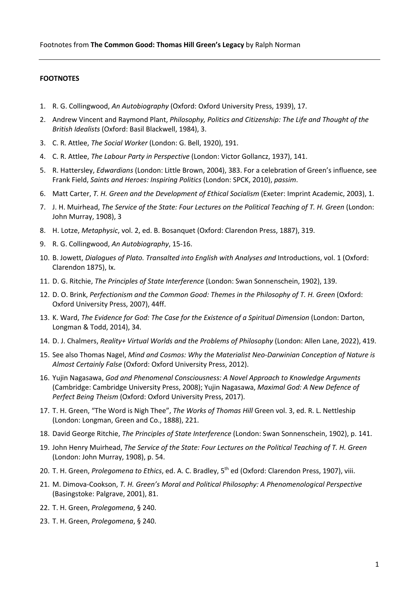## **FOOTNOTES**

- 1. R. G. Collingwood, *An Autobiography* (Oxford: Oxford University Press, 1939), 17.
- 2. Andrew Vincent and Raymond Plant, *Philosophy, Politics and Citizenship: The Life and Thought of the British Idealists* (Oxford: Basil Blackwell, 1984), 3.
- 3. C. R. Attlee, *The Social Worker* (London: G. Bell, 1920), 191.
- 4. C. R. Attlee, *The Labour Party in Perspective* (London: Victor Gollancz, 1937), 141.
- 5. R. Hattersley, *Edwardians* (London: Little Brown, 2004), 383. For a celebration of Green's influence, see Frank Field, *Saints and Heroes: Inspiring Politics* (London: SPCK, 2010), *passim*.
- 6. Matt Carter, *T. H. Green and the Development of Ethical Socialism* (Exeter: Imprint Academic, 2003), 1.
- 7. J. H. Muirhead, *The Service of the State: Four Lectures on the Political Teaching of T. H. Green* (London: John Murray, 1908), 3
- 8. H. Lotze, *Metaphysic*, vol. 2, ed. B. Bosanquet (Oxford: Clarendon Press, 1887), 319.
- 9. R. G. Collingwood, *An Autobiography*, 15-16.
- 10. B. Jowett, *Dialogues of Plato. Transalted into English with Analyses and* Introductions, vol. 1 (Oxford: Clarendon 1875), Ix.
- 11. D. G. Ritchie, *The Principles of State Interference* (London: Swan Sonnenschein, 1902), 139.
- 12. D. O. Brink, *Perfectionism and the Common Good: Themes in the Philosophy of T. H. Green* (Oxford: Oxford University Press, 2007), 44ff.
- 13. K. Ward, *The Evidence for God: The Case for the Existence of a Spiritual Dimension* (London: Darton, Longman & Todd, 2014), 34.
- 14. D. J. Chalmers, *Reality+ Virtual Worlds and the Problems of Philosophy* (London: Allen Lane, 2022), 419.
- 15. See also Thomas Nagel, *Mind and Cosmos: Why the Materialist Neo-Darwinian Conception of Nature is Almost Certainly False* (Oxford: Oxford University Press, 2012).
- 16. Yujin Nagasawa, *God and Phenomenal Consciousness: A Novel Approach to Knowledge Arguments*  (Cambridge: Cambridge University Press, 2008); Yujin Nagasawa, *Maximal God: A New Defence of Perfect Being Theism* (Oxford: Oxford University Press, 2017).
- 17. T. H. Green, "The Word is Nigh Thee", *The Works of Thomas Hill* Green vol. 3, ed. R. L. Nettleship (London: Longman, Green and Co., 1888), 221.
- 18. David George Ritchie, *The Principles of State Interference* (London: Swan Sonnenschein, 1902), p. 141.
- 19. John Henry Muirhead, *The Service of the State: Four Lectures on the Political Teaching of T. H. Green*  (London: John Murray, 1908), p. 54.
- 20. T. H. Green, *Prolegomena to Ethics*, ed. A. C. Bradley, 5th ed (Oxford: Clarendon Press, 1907), viii.
- 21. M. Dimova-Cookson, *T. H. Green's Moral and Political Philosophy: A Phenomenological Perspective*  (Basingstoke: Palgrave, 2001), 81.
- 22. T. H. Green, *Prolegomena*, § 240.
- 23. T. H. Green, *Prolegomena*, § 240.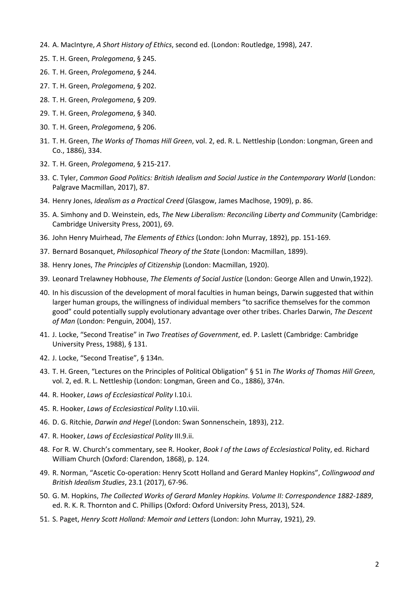- 24. A. MacIntyre, *A Short History of Ethics*, second ed. (London: Routledge, 1998), 247.
- 25. T. H. Green, *Prolegomena*, § 245.
- 26. T. H. Green, *Prolegomena*, § 244.
- 27. T. H. Green, *Prolegomena*, § 202.
- 28. T. H. Green, *Prolegomena*, § 209.
- 29. T. H. Green, *Prolegomena*, § 340.
- 30. T. H. Green, *Prolegomena*, § 206.
- 31. T. H. Green, *The Works of Thomas Hill Green*, vol. 2, ed. R. L. Nettleship (London: Longman, Green and Co., 1886), 334.
- 32. T. H. Green, *Prolegomena*, § 215-217.
- 33. C. Tyler, *Common Good Politics: British Idealism and Social Justice in the Contemporary World* (London: Palgrave Macmillan, 2017), 87.
- 34. Henry Jones, *Idealism as a Practical Creed* (Glasgow, James Maclhose, 1909), p. 86.
- 35. A. Simhony and D. Weinstein, eds, *The New Liberalism: Reconciling Liberty and Community* (Cambridge: Cambridge University Press, 2001), 69.
- 36. John Henry Muirhead, *The Elements of Ethics* (London: John Murray, 1892), pp. 151-169.
- 37. Bernard Bosanquet, *Philosophical Theory of the State* (London: Macmillan, 1899).
- 38. Henry Jones, *The Principles of Citizenship* (London: Macmillan, 1920).
- 39. Leonard Trelawney Hobhouse, *The Elements of Social Justice* (London: George Allen and Unwin,1922).
- 40. In his discussion of the development of moral faculties in human beings, Darwin suggested that within larger human groups, the willingness of individual members "to sacrifice themselves for the common good" could potentially supply evolutionary advantage over other tribes. Charles Darwin, *The Descent of Man* (London: Penguin, 2004), 157.
- 41. J. Locke, "Second Treatise" in *Two Treatises of Government*, ed. P. Laslett (Cambridge: Cambridge University Press, 1988), § 131.
- 42. J. Locke, "Second Treatise", § 134n.
- 43. T. H. Green, "Lectures on the Principles of Political Obligation" § 51 in *The Works of Thomas Hill Green*, vol. 2, ed. R. L. Nettleship (London: Longman, Green and Co., 1886), 374n.
- 44. R. Hooker, *Laws of Ecclesiastical Polity* I.10.i.
- 45. R. Hooker, *Laws of Ecclesiastical Polity* I.10.viii.
- 46. D. G. Ritchie, *Darwin and Hegel* (London: Swan Sonnenschein, 1893), 212.
- 47. R. Hooker, *Laws of Ecclesiastical Polity* III.9.ii.
- 48. For R. W. Church's commentary, see R. Hooker, *Book I of the Laws of Ecclesiastical* Polity, ed. Richard William Church (Oxford: Clarendon, 1868), p. 124.
- 49. R. Norman, "Ascetic Co-operation: Henry Scott Holland and Gerard Manley Hopkins", *Collingwood and British Idealism Studies*, 23.1 (2017), 67-96.
- 50. G. M. Hopkins, *The Collected Works of Gerard Manley Hopkins. Volume II: Correspondence 1882-1889*, ed. R. K. R. Thornton and C. Phillips (Oxford: Oxford University Press, 2013), 524.
- 51. S. Paget, *Henry Scott Holland: Memoir and Letters* (London: John Murray, 1921), 29.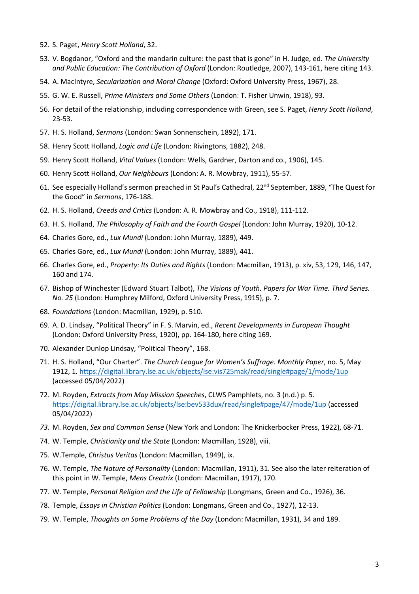- 52. S. Paget, *Henry Scott Holland*, 32.
- 53. V. Bogdanor, "Oxford and the mandarin culture: the past that is gone" in H. Judge, ed. *The University and Public Education: The Contribution of Oxford* (London: Routledge, 2007), 143-161, here citing 143.
- 54. A. MacIntyre, *Secularization and Moral Change* (Oxford: Oxford University Press, 1967), 28.
- 55. G. W. E. Russell, *Prime Ministers and Some Others* (London: T. Fisher Unwin, 1918), 93.
- 56. For detail of the relationship, including correspondence with Green, see S. Paget, *Henry Scott Holland*, 23-53.
- 57. H. S. Holland, *Sermons* (London: Swan Sonnenschein, 1892), 171.
- 58. Henry Scott Holland, *Logic and Life* (London: Rivingtons, 1882), 248.
- 59. Henry Scott Holland, *Vital Values* (London: Wells, Gardner, Darton and co., 1906), 145.
- 60. Henry Scott Holland, *Our Neighbours* (London: A. R. Mowbray, 1911), 55-57.
- 61. See especially Holland's sermon preached in St Paul's Cathedral, 22<sup>nd</sup> September, 1889, "The Quest for the Good" in *Sermons*, 176-188.
- 62. H. S. Holland, *Creeds and Critics* (London: A. R. Mowbray and Co., 1918), 111-112.
- 63. H. S. Holland, *The Philosophy of Faith and the Fourth Gospel* (London: John Murray, 1920), 10-12.
- 64. Charles Gore, ed., *Lux Mundi* (London: John Murray, 1889), 449.
- 65. Charles Gore, ed., *Lux Mundi* (London: John Murray, 1889), 441.
- 66. Charles Gore, ed., *Property: Its Duties and Rights* (London: Macmillan, 1913), p. xiv, 53, 129, 146, 147, 160 and 174.
- 67. Bishop of Winchester (Edward Stuart Talbot), *The Visions of Youth. Papers for War Time. Third Series. No. 25* (London: Humphrey Milford, Oxford University Press, 1915), p. 7.
- 68. *Foundations* (London: Macmillan, 1929), p. 510.
- 69. A. D. Lindsay, "Political Theory" in F. S. Marvin, ed., *Recent Developments in European Thought*  (London: Oxford University Press, 1920), pp. 164-180, here citing 169.
- 70. Alexander Dunlop Lindsay, "Political Theory", 168.
- 71. H. S. Holland, "Our Charter". *The Church League for Women's Suffrage. Monthly Paper*, no. 5, May 1912, 1. https://digital.library.lse.ac.uk/objects/lse:vis725mak/read/single#page/1/mode/1up (accessed 05/04/2022)
- 72. M. Royden, *Extracts from May Mission Speeches*, CLWS Pamphlets, no. 3 (n.d.) p. 5. https://digital.library.lse.ac.uk/objects/lse:bev533dux/read/single#page/47/mode/1up (accessed 05/04/2022)
- *73.* M. Royden, *Sex and Common Sense* (New York and London: The Knickerbocker Press, 1922), 68-71.
- 74. W. Temple, *Christianity and the State* (London: Macmillan, 1928), viii.
- 75. W.Temple, *Christus Veritas* (London: Macmillan, 1949), ix.
- 76. W. Temple, *The Nature of Personality* (London: Macmillan, 1911), 31. See also the later reiteration of this point in W. Temple, *Mens Creatrix* (London: Macmillan, 1917), 170.
- 77. W. Temple, *Personal Religion and the Life of Fellowship* (Longmans, Green and Co., 1926), 36.
- 78. Temple, *Essays in Christian Politics* (London: Longmans, Green and Co., 1927), 12-13.
- 79. W. Temple, *Thoughts on Some Problems of the Day* (London: Macmillan, 1931), 34 and 189.